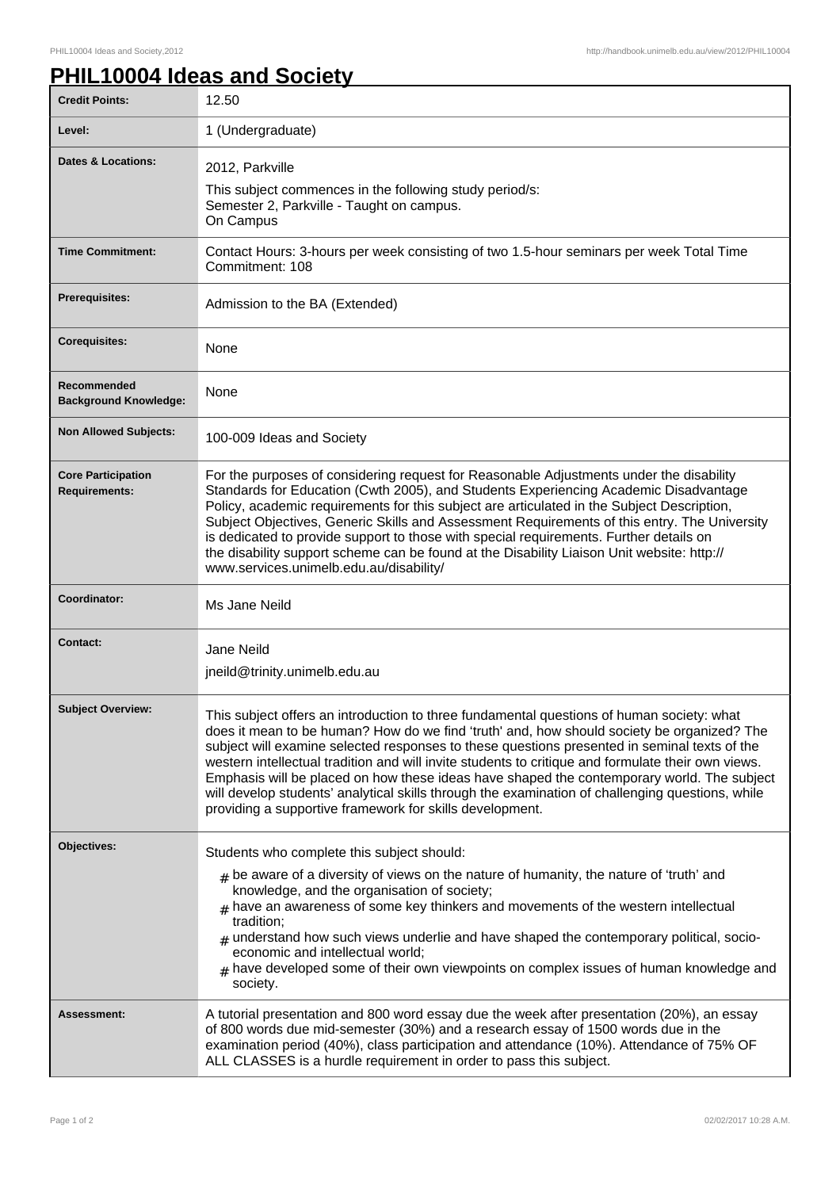## **PHIL10004 Ideas and Society**

| <b>Credit Points:</b>                             | 12.50                                                                                                                                                                                                                                                                                                                                                                                                                                                                                                                                                                                                                                                       |
|---------------------------------------------------|-------------------------------------------------------------------------------------------------------------------------------------------------------------------------------------------------------------------------------------------------------------------------------------------------------------------------------------------------------------------------------------------------------------------------------------------------------------------------------------------------------------------------------------------------------------------------------------------------------------------------------------------------------------|
| Level:                                            | 1 (Undergraduate)                                                                                                                                                                                                                                                                                                                                                                                                                                                                                                                                                                                                                                           |
| Dates & Locations:                                | 2012, Parkville<br>This subject commences in the following study period/s:<br>Semester 2, Parkville - Taught on campus.<br>On Campus                                                                                                                                                                                                                                                                                                                                                                                                                                                                                                                        |
| <b>Time Commitment:</b>                           | Contact Hours: 3-hours per week consisting of two 1.5-hour seminars per week Total Time<br>Commitment: 108                                                                                                                                                                                                                                                                                                                                                                                                                                                                                                                                                  |
| Prerequisites:                                    | Admission to the BA (Extended)                                                                                                                                                                                                                                                                                                                                                                                                                                                                                                                                                                                                                              |
| <b>Corequisites:</b>                              | None                                                                                                                                                                                                                                                                                                                                                                                                                                                                                                                                                                                                                                                        |
| Recommended<br><b>Background Knowledge:</b>       | None                                                                                                                                                                                                                                                                                                                                                                                                                                                                                                                                                                                                                                                        |
| <b>Non Allowed Subjects:</b>                      | 100-009 Ideas and Society                                                                                                                                                                                                                                                                                                                                                                                                                                                                                                                                                                                                                                   |
| <b>Core Participation</b><br><b>Requirements:</b> | For the purposes of considering request for Reasonable Adjustments under the disability<br>Standards for Education (Cwth 2005), and Students Experiencing Academic Disadvantage<br>Policy, academic requirements for this subject are articulated in the Subject Description,<br>Subject Objectives, Generic Skills and Assessment Requirements of this entry. The University<br>is dedicated to provide support to those with special requirements. Further details on<br>the disability support scheme can be found at the Disability Liaison Unit website: http://<br>www.services.unimelb.edu.au/disability/                                            |
| Coordinator:                                      | Ms Jane Neild                                                                                                                                                                                                                                                                                                                                                                                                                                                                                                                                                                                                                                               |
| <b>Contact:</b>                                   | Jane Neild<br>jneild@trinity.unimelb.edu.au                                                                                                                                                                                                                                                                                                                                                                                                                                                                                                                                                                                                                 |
| <b>Subject Overview:</b>                          | This subject offers an introduction to three fundamental questions of human society: what<br>does it mean to be human? How do we find 'truth' and, how should society be organized? The<br>subject will examine selected responses to these questions presented in seminal texts of the<br>western intellectual tradition and will invite students to critique and formulate their own views.<br>Emphasis will be placed on how these ideas have shaped the contemporary world. The subject<br>will develop students' analytical skills through the examination of challenging questions, while<br>providing a supportive framework for skills development. |
| Objectives:                                       | Students who complete this subject should:<br>$#$ be aware of a diversity of views on the nature of humanity, the nature of 'truth' and<br>knowledge, and the organisation of society;<br>$_{\text{\#}}$ have an awareness of some key thinkers and movements of the western intellectual<br>tradition;<br>understand how such views underlie and have shaped the contemporary political, socio-<br>#<br>economic and intellectual world;<br>$#$ have developed some of their own viewpoints on complex issues of human knowledge and<br>society.                                                                                                           |
| Assessment:                                       | A tutorial presentation and 800 word essay due the week after presentation (20%), an essay<br>of 800 words due mid-semester (30%) and a research essay of 1500 words due in the<br>examination period (40%), class participation and attendance (10%). Attendance of 75% OF<br>ALL CLASSES is a hurdle requirement in order to pass this subject.                                                                                                                                                                                                                                                                                                           |